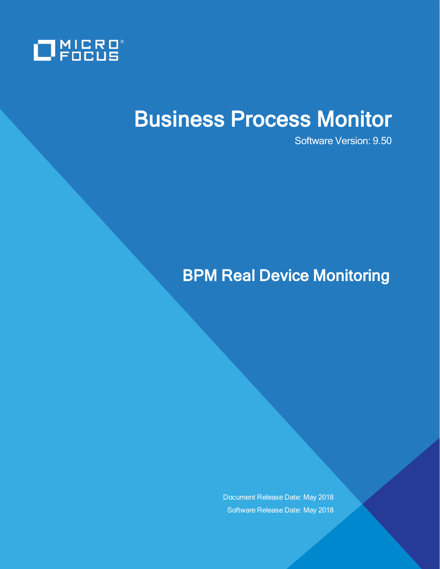

# Business Process Monitor

Software Version: 9.50

# BPM Real Device Monitoring

Document Release Date: May 2018 Software Release Date: May 2018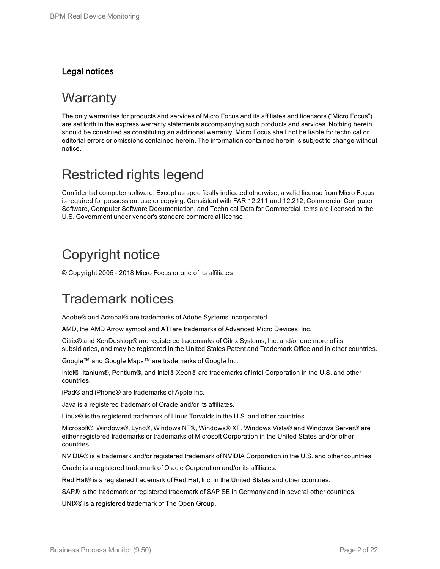### Legal notices

### **Warranty**

The only warranties for products and services of Micro Focus and its affiliates and licensors ("Micro Focus") are set forth in the express warranty statements accompanying such products and services. Nothing herein should be construed as constituting an additional warranty. Micro Focus shall not be liable for technical or editorial errors or omissions contained herein. The information contained herein is subject to change without notice.

### Restricted rights legend

Confidential computer software. Except as specifically indicated otherwise, a valid license from Micro Focus is required for possession, use or copying. Consistent with FAR 12.211 and 12.212, Commercial Computer Software, Computer Software Documentation, and Technical Data for Commercial Items are licensed to the U.S. Government under vendor's standard commercial license.

### Copyright notice

© Copyright 2005 - 2018 Micro Focus or one of its affiliates

### Trademark notices

Adobe® and Acrobat® are trademarks of Adobe Systems Incorporated.

AMD, the AMD Arrow symbol and ATI are trademarks of Advanced Micro Devices, Inc.

Citrix® and XenDesktop® are registered trademarks of Citrix Systems, Inc. and/or one more of its subsidiaries, and may be registered in the United States Patent and Trademark Office and in other countries.

Google™ and Google Maps™ are trademarks of Google Inc.

Intel®, Itanium®, Pentium®, and Intel® Xeon® are trademarks of Intel Corporation in the U.S. and other countries.

iPad® and iPhone® are trademarks of Apple Inc.

Java is a registered trademark of Oracle and/or its affiliates.

Linux® is the registered trademark of Linus Torvalds in the U.S. and other countries.

Microsoft®, Windows®, Lync®, Windows NT®, Windows® XP, Windows Vista® and Windows Server® are either registered trademarks or trademarks of Microsoft Corporation in the United States and/or other countries.

NVIDIA® is a trademark and/or registered trademark of NVIDIA Corporation in the U.S. and other countries.

Oracle is a registered trademark of Oracle Corporation and/or its affiliates.

Red Hat® is a registered trademark of Red Hat, Inc. in the United States and other countries.

SAP® is the trademark or registered trademark of SAP SE in Germany and in several other countries.

UNIX® is a registered trademark of The Open Group.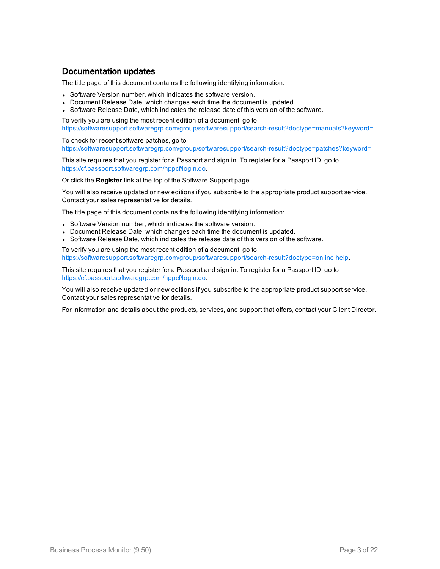### Documentation updates

The title page of this document contains the following identifying information:

- Software Version number, which indicates the software version.
- Document Release Date, which changes each time the document is updated.
- Software Release Date, which indicates the release date of this version of the software.

To verify you are using the most recent edition of a document, go to [https://softwaresupport.softwaregrp.com/group/softwaresupport/search-result?doctype=manuals?keyword=.](https://softwaresupport.softwaregrp.com/group/softwaresupport/search-result?doctype=manuals?keyword=)

To check for recent software patches, go to [https://softwaresupport.softwaregrp.com/group/softwaresupport/search-result?doctype=patches?keyword=.](https://softwaresupport.softwaregrp.com/group/softwaresupport/search-result?doctype=patches?keyword=)

This site requires that you register for a Passport and sign in. To register for a Passport ID, go to <https://cf.passport.softwaregrp.com/hppcf/login.do>.

Or click the **Register** link at the top of the Software Support page.

You will also receive updated or new editions if you subscribe to the appropriate product support service. Contact your sales representative for details.

The title page of this document contains the following identifying information:

- Software Version number, which indicates the software version.
- Document Release Date, which changes each time the document is updated.
- Software Release Date, which indicates the release date of this version of the software.

To verify you are using the most recent edition of a document, go to [https://softwaresupport.softwaregrp.com/group/softwaresupport/search-result?doctype=online](https://softwaresupport.softwaregrp.com/group/softwaresupport/search-result?doctype=online help) help.

This site requires that you register for a Passport and sign in. To register for a Passport ID, go to <https://cf.passport.softwaregrp.com/hppcf/login.do>.

You will also receive updated or new editions if you subscribe to the appropriate product support service. Contact your sales representative for details.

For information and details about the products, services, and support that offers, contact your Client Director.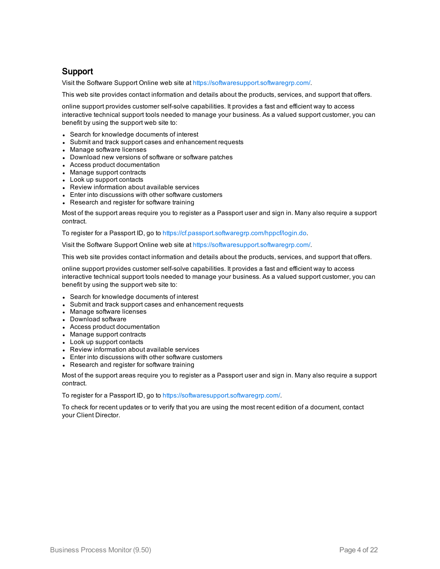### Support

Visit the Software Support Online web site at <https://softwaresupport.softwaregrp.com/>.

This web site provides contact information and details about the products, services, and support that offers.

online support provides customer self-solve capabilities. It provides a fast and efficient way to access interactive technical support tools needed to manage your business. As a valued support customer, you can benefit by using the support web site to:

- Search for knowledge documents of interest
- Submit and track support cases and enhancement requests
- Manage software licenses
- Download new versions of software or software patches
- Access product documentation
- Manage support contracts
- Look up support contacts
- Review information about available services
- Enter into discussions with other software customers
- Research and register for software training

Most of the support areas require you to register as a Passport user and sign in. Many also require a support contract.

To register for a Passport ID, go to [https://cf.passport.softwaregrp.com/hppcf/login.do.](https://cf.passport.softwaregrp.com/hppcf/login.do)

Visit the Software Support Online web site at <https://softwaresupport.softwaregrp.com/>.

This web site provides contact information and details about the products, services, and support that offers.

online support provides customer self-solve capabilities. It provides a fast and efficient way to access interactive technical support tools needed to manage your business. As a valued support customer, you can benefit by using the support web site to:

- Search for knowledge documents of interest
- Submit and track support cases and enhancement requests
- Manage software licenses
- Download software
- Access product documentation
- Manage support contracts
- Look up support contacts
- Review information about available services
- Enter into discussions with other software customers
- Research and register for software training

Most of the support areas require you to register as a Passport user and sign in. Many also require a support contract.

To register for a Passport ID, go to <https://softwaresupport.softwaregrp.com/>.

To check for recent updates or to verify that you are using the most recent edition of a document, contact your Client Director.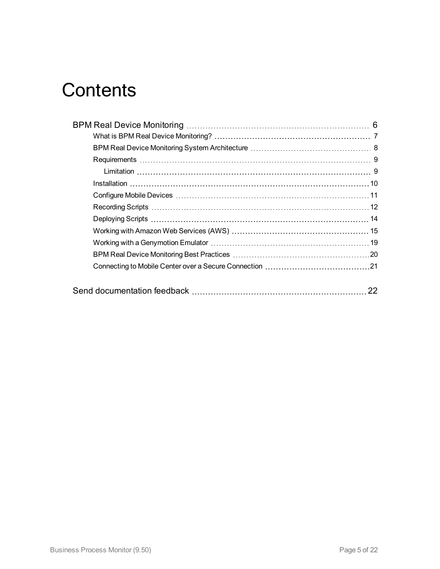# **Contents**

| 22 |
|----|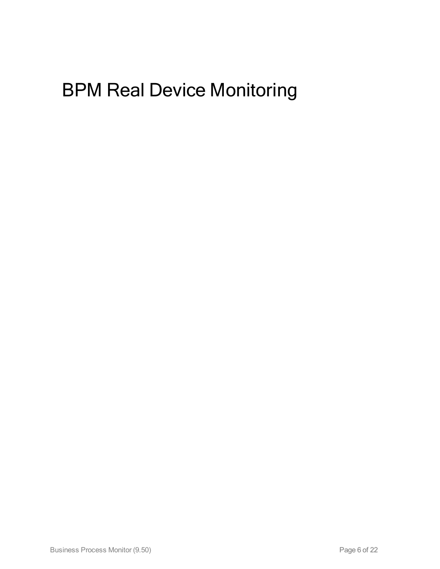# <span id="page-5-0"></span>BPM Real Device Monitoring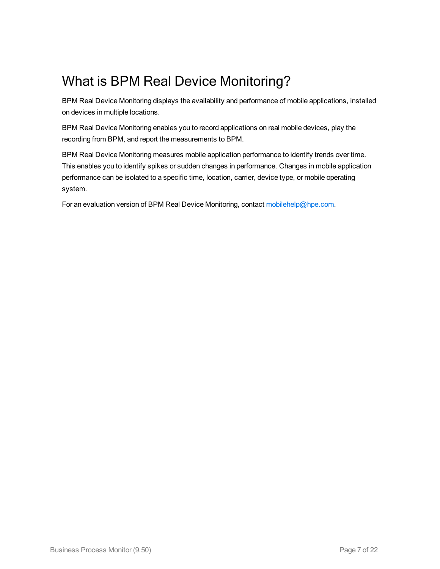## <span id="page-6-0"></span>What is BPM Real Device Monitoring?

BPM Real Device Monitoring displays the availability and performance of mobile applications, installed on devices in multiple locations.

BPM Real Device Monitoring enables you to record applications on real mobile devices, play the recording from BPM, and report the measurements to BPM.

BPM Real Device Monitoring measures mobile application performance to identify trends over time. This enables you to identify spikes or sudden changes in performance. Changes in mobile application performance can be isolated to a specific time, location, carrier, device type, or mobile operating system.

For an evaluation version of BPM Real Device Monitoring, contact [mobilehelp@hpe.com](mailto:mobilehelp@hpe.com?subject=BPM Real Device Monitoring).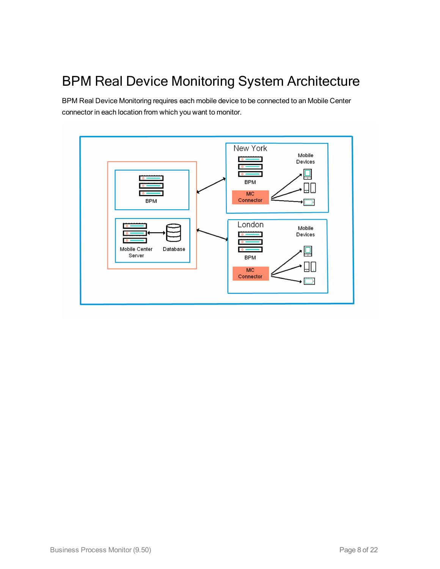## <span id="page-7-0"></span>BPM Real Device Monitoring System Architecture

BPM Real Device Monitoring requires each mobile device to be connected to an Mobile Center connector in each location from which you want to monitor.

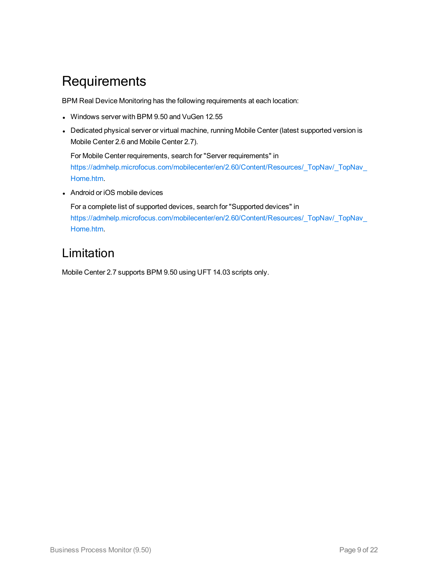### <span id="page-8-0"></span>**Requirements**

BPM Real Device Monitoring has the following requirements at each location:

- Windows server with BPM 9.50 and VuGen 12.55
- Dedicated physical server or virtual machine, running Mobile Center (latest supported version is Mobile Center 2.6 and Mobile Center 2.7).

For Mobile Center requirements, search for "Server requirements" in [https://admhelp.microfocus.com/mobilecenter/en/2.60/Content/Resources/\\_TopNav/\\_TopNav\\_](https://admhelp.microfocus.com/mobilecenter/en/2.60/Content/Resources/_TopNav/_TopNav_Home.htm) [Home.htm](https://admhelp.microfocus.com/mobilecenter/en/2.60/Content/Resources/_TopNav/_TopNav_Home.htm).

• Android or iOS mobile devices

For a complete list of supported devices, search for "Supported devices" in [https://admhelp.microfocus.com/mobilecenter/en/2.60/Content/Resources/\\_TopNav/\\_TopNav\\_](https://admhelp.microfocus.com/mobilecenter/en/2.60/Content/Resources/_TopNav/_TopNav_Home.htm) [Home.htm](https://admhelp.microfocus.com/mobilecenter/en/2.60/Content/Resources/_TopNav/_TopNav_Home.htm).

### <span id="page-8-1"></span>Limitation

Mobile Center 2.7 supports BPM 9.50 using UFT 14.03 scripts only.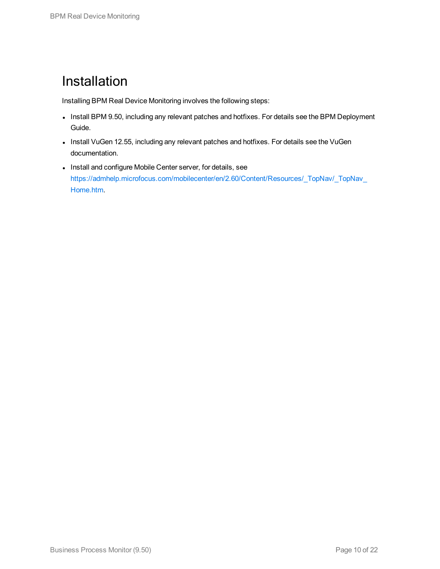### <span id="page-9-0"></span>Installation

Installing BPM Real Device Monitoring involves the following steps:

- Install BPM 9.50, including any relevant patches and hotfixes. For details see the BPM Deployment Guide.
- Install VuGen 12.55, including any relevant patches and hotfixes. For details see the VuGen documentation.
- Install and configure Mobile Center server, for details, see [https://admhelp.microfocus.com/mobilecenter/en/2.60/Content/Resources/\\_TopNav/\\_TopNav\\_](https://admhelp.microfocus.com/mobilecenter/en/2.60/Content/Resources/_TopNav/_TopNav_Home.htm) [Home.htm](https://admhelp.microfocus.com/mobilecenter/en/2.60/Content/Resources/_TopNav/_TopNav_Home.htm).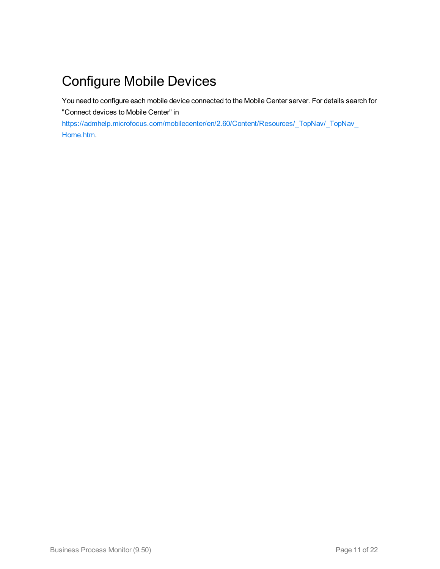# <span id="page-10-0"></span>Configure Mobile Devices

You need to configure each mobile device connected to the Mobile Center server. For details search for "Connect devices to Mobile Center" in

[https://admhelp.microfocus.com/mobilecenter/en/2.60/Content/Resources/\\_TopNav/\\_TopNav\\_](https://admhelp.microfocus.com/mobilecenter/en/2.60/Content/Resources/_TopNav/_TopNav_Home.htm) [Home.htm](https://admhelp.microfocus.com/mobilecenter/en/2.60/Content/Resources/_TopNav/_TopNav_Home.htm).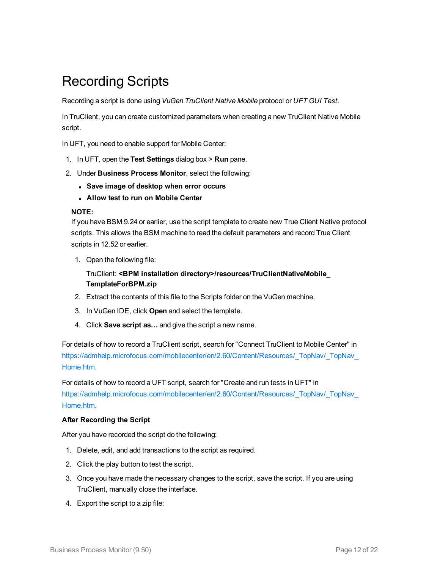## <span id="page-11-0"></span>Recording Scripts

Recording a script is done using *VuGen TruClient Native Mobile* protocol or *UFT GUI Test*.

In TruClient, you can create customized parameters when creating a new TruClient Native Mobile script.

In UFT, you need to enable support for Mobile Center:

- 1. In UFT, open the **Test Settings** dialog box > **Run** pane.
- 2. Under **Business Process Monitor**, select the following:
	- <sup>l</sup> **Save image of desktop when error occurs**
	- <sup>l</sup> **Allow test to run on Mobile Center**

#### **NOTE:**

If you have BSM 9.24 or earlier, use the script template to create new True Client Native protocol scripts. This allows the BSM machine to read the default parameters and record True Client scripts in 12.52 or earlier.

1. Open the following file:

TruClient: **<BPM installation directory>/resources/TruClientNativeMobile\_ TemplateForBPM.zip**

- 2. Extract the contents of this file to the Scripts folder on the VuGen machine.
- 3. In VuGen IDE, click **Open** and select the template.
- 4. Click **Save script as…** and give the script a new name.

For details of how to record a TruClient script, search for "Connect TruClient to Mobile Center" in [https://admhelp.microfocus.com/mobilecenter/en/2.60/Content/Resources/\\_TopNav/\\_TopNav\\_](https://admhelp.microfocus.com/mobilecenter/en/2.60/Content/Resources/_TopNav/_TopNav_Home.htm) [Home.htm](https://admhelp.microfocus.com/mobilecenter/en/2.60/Content/Resources/_TopNav/_TopNav_Home.htm).

For details of how to record a UFT script, search for "Create and run tests in UFT" in [https://admhelp.microfocus.com/mobilecenter/en/2.60/Content/Resources/\\_TopNav/\\_TopNav\\_](https://admhelp.microfocus.com/mobilecenter/en/2.60/Content/Resources/_TopNav/_TopNav_Home.htm) [Home.htm](https://admhelp.microfocus.com/mobilecenter/en/2.60/Content/Resources/_TopNav/_TopNav_Home.htm).

#### **After Recording the Script**

After you have recorded the script do the following:

- 1. Delete, edit, and add transactions to the script as required.
- 2. Click the play button to test the script.
- 3. Once you have made the necessary changes to the script, save the script. If you are using TruClient, manually close the interface.
- 4. Export the script to a zip file: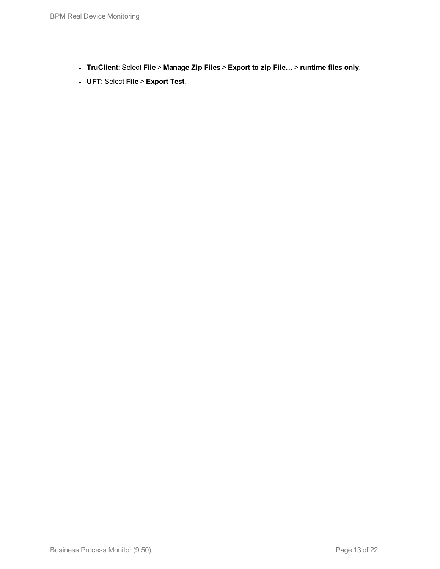- <sup>l</sup> **TruClient:** Select **File** > **Manage Zip Files** > **Export to zip File…** > **runtime files only**.
- <sup>l</sup> **UFT:** Select **File** > **Export Test**.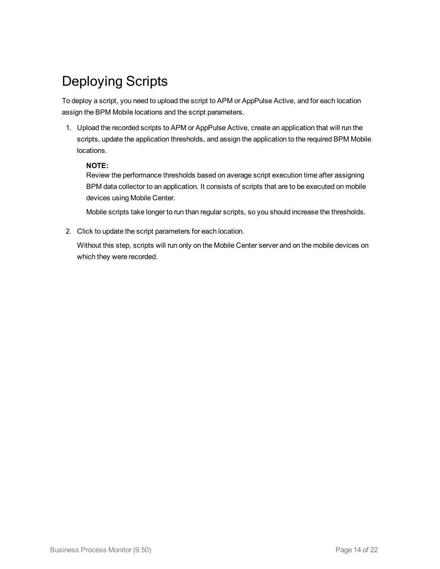## <span id="page-13-0"></span>Deploying Scripts

To deploy a script, you need to upload the script to APM or AppPulse Active, and for each location assign the BPM Mobile locations and the script parameters.

1. Upload the recorded scripts to APM or AppPulse Active, create an application that will run the scripts, update the application thresholds, and assign the application to the required BPM Mobile locations.

#### **NOTE:**

Review the performance thresholds based on average script execution time after assigning BPM data collector to an application. It consists of scripts that are to be executed on mobile devices using Mobile Center.

Mobile scripts take longer to run than regular scripts, so you should increase the thresholds.

2. Click to update the script parameters for each location.

Without this step, scripts will run only on the Mobile Center server and on the mobile devices on which they were recorded.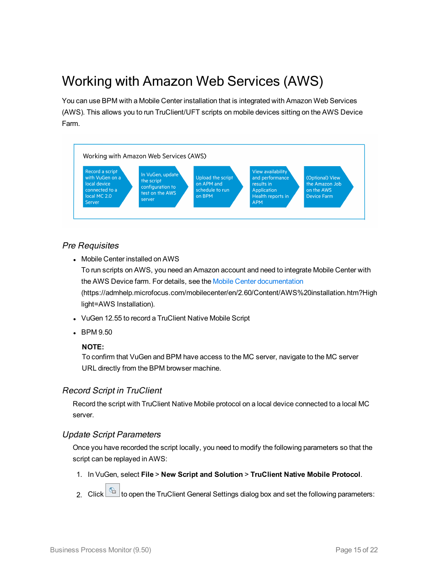## <span id="page-14-0"></span>Working with Amazon Web Services (AWS)

You can use BPM with a Mobile Center installation that is integrated with Amazon Web Services (AWS). This allows you to run TruClient/UFT scripts on mobile devices sitting on the AWS Device Farm.



#### Pre Requisites

• Mobile Center installed on AWS

To run scripts on AWS, you need an Amazon account and need to integrate Mobile Center with the AWS Device farm. For details, see the Mobile Center [documentation](https://admhelp.microfocus.com/mobilecenter/en/2.60/Content/AWS installation.htm?Highlight=AWS Installation) (https://admhelp.microfocus.com/mobilecenter/en/2.60/Content/AWS%20installation.htm?High light=AWS Installation).

- VuGen 12.55 to record a TruClient Native Mobile Script
- BPM 9.50

#### **NOTE:**

To confirm that VuGen and BPM have access to the MC server, navigate to the MC server URL directly from the BPM browser machine.

### Record Script in TruClient

Record the script with TruClient Native Mobile protocol on a local device connected to a local MC server.

### Update Script Parameters

Once you have recorded the script locally, you need to modify the following parameters so that the script can be replayed in AWS:

1. In VuGen, select **File** > **New Script and Solution** > **TruClient Native Mobile Protocol**.

2. Click  $\boxed{\text{a}}$  to open the TruClient General Settings dialog box and set the following parameters: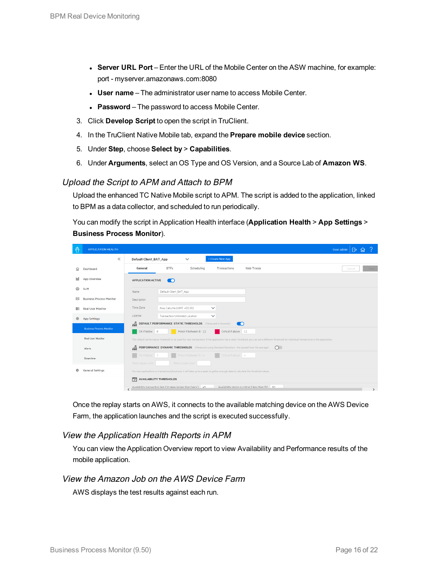- <sup>l</sup> **Server URL Port** Enter the URL of the Mobile Center on the ASW machine, for example: port - myserver.amazonaws.com:8080
- <sup>l</sup> **User name** The administrator user name to access Mobile Center.
- **Password** The password to access Mobile Center.
- 3. Click **Develop Script** to open the script in TruClient.
- 4. In the TruClient Native Mobile tab, expand the **Prepare mobile device** section.
- 5. Under **Step**, choose **Select by** > **Capabilities**.
- 6. Under **Arguments**, select an OS Type and OS Version, and a Source Lab of **Amazon WS**.

#### Upload the Script to APM and Attach to BPM

Upload the enhanced TC Native Mobile script to APM. The script is added to the application, linked to BPM as a data collector, and scheduled to run periodically.

You can modify the script in Application Health interface (**Application Health** > **App Settings** > **Business Process Monitor**).

| 章 | <b>APPLICATION HEALTH</b>       |                                                                                                                                                |                                                                                                                                                                                                 | $\mathbb{R}$<br>User: admin |  |  |
|---|---------------------------------|------------------------------------------------------------------------------------------------------------------------------------------------|-------------------------------------------------------------------------------------------------------------------------------------------------------------------------------------------------|-----------------------------|--|--|
|   | $\ll$                           | <b>Default Client_BAT_App</b><br>$\checkmark$                                                                                                  | + Create New App                                                                                                                                                                                |                             |  |  |
| ⋒ | Dashboard                       | <b>BTFs</b><br>Scheduling<br><b>General</b>                                                                                                    | <b>Web Traces</b><br><b>Transactions</b>                                                                                                                                                        | Cancel<br>Save              |  |  |
|   | <b>App Overview</b>             | <b>APPLICATION ACTIVE</b><br>$\bullet$                                                                                                         |                                                                                                                                                                                                 |                             |  |  |
| ☮ | <b>SLM</b>                      | Default Client BAT App<br>Name                                                                                                                 |                                                                                                                                                                                                 |                             |  |  |
| ឍ | <b>Business Process Monitor</b> | Description                                                                                                                                    |                                                                                                                                                                                                 |                             |  |  |
| 囨 | <b>Real User Monitor</b>        | Time Zone<br>Asia, Calcutta (GMT +05:30)                                                                                                       | $\checkmark$                                                                                                                                                                                    |                             |  |  |
| ଢ | <b>App Settings</b>             | License<br><b>Transaction Unlimited Location</b>                                                                                               | $\checkmark$                                                                                                                                                                                    |                             |  |  |
|   |                                 | 孟<br><b>DEFAULT PERFORMANCE STATIC THRESHOLDS</b> (Measured in Seconds)<br>$\bullet$                                                           |                                                                                                                                                                                                 |                             |  |  |
|   | <b>Business Process Monitor</b> | OK if below 8<br>Minor if between 8 - 12                                                                                                       | Critical if above 12                                                                                                                                                                            |                             |  |  |
|   | <b>Real User Monitor</b>        |                                                                                                                                                | The default performance threshold to be used for new transactions. If the application has a static threshold, you can set a different threshold for individual transactions in the application. |                             |  |  |
|   | Alerts                          | ۞<br>PERFORMANCE DYNAMIC THRESHOLDS (Measured using Standard Deviation - the spread from the average)<br>$\circ$                               |                                                                                                                                                                                                 |                             |  |  |
|   | Downtime                        | OK if below 3<br>Minor if between 3 - 4                                                                                                        | Critical if above 4                                                                                                                                                                             |                             |  |  |
|   |                                 | Static Upper Limit<br>Static Lower Limit                                                                                                       |                                                                                                                                                                                                 |                             |  |  |
|   | <b>General Settings</b>         |                                                                                                                                                | For new applications or transactions/locations, it will take up to a week to gather enough data to calculate the threshold values                                                               |                             |  |  |
|   |                                 | 鬥<br><b>AVAILABILITY THRESHOLDS</b>                                                                                                            |                                                                                                                                                                                                 |                             |  |  |
|   |                                 | Availability transaction fails if it takes longer than (secs.) 45<br>Availability status is critical if less than (%) 90<br>$\rightarrow$<br>≺ |                                                                                                                                                                                                 |                             |  |  |

Once the replay starts on AWS, it connects to the available matching device on the AWS Device Farm, the application launches and the script is executed successfully.

#### View the Application Health Reports in APM

You can view the Application Overview report to view Availability and Performance results of the mobile application.

#### View the Amazon Job on the AWS Device Farm

AWS displays the test results against each run.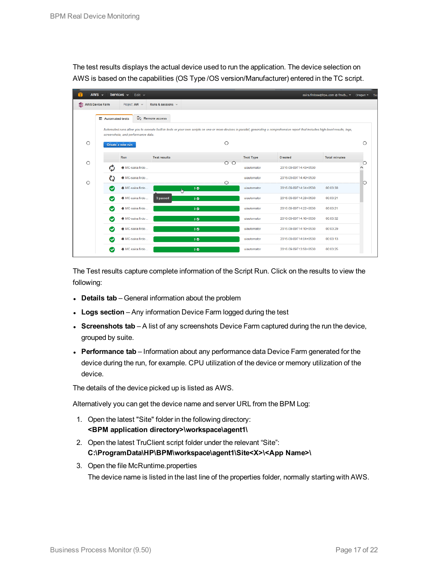The test results displays the actual device used to run the application. The device selection on AWS is based on the capabilities (OS Type /OS version/Manufacturer) entered in the TC script.

|                                                       | AWS $\sim$<br>Services $\sim$<br>Edit $\sim$<br>saira.firdose@hpe.com @ fmob *<br>Oregon * |                                    |                     |                 |                  | 50                                                                                                                                                                                   |                      |         |
|-------------------------------------------------------|--------------------------------------------------------------------------------------------|------------------------------------|---------------------|-----------------|------------------|--------------------------------------------------------------------------------------------------------------------------------------------------------------------------------------|----------------------|---------|
| AWS Device Farm<br>Project: AW ~<br>Runs & sessions v |                                                                                            |                                    |                     |                 |                  |                                                                                                                                                                                      |                      |         |
|                                                       | 三 Automated tests                                                                          |                                    | Do Remote access    |                 |                  |                                                                                                                                                                                      |                      |         |
|                                                       |                                                                                            | screenshots, and performance data. |                     |                 |                  | Automated runs allow you to execute built-in tests or your own scripts on one or more devices in parallel, generating a comprehensive report that includes high-level results, logs, |                      |         |
| $\circ$                                               |                                                                                            | Create a new run                   |                     | $\circ$         |                  |                                                                                                                                                                                      |                      | $\circ$ |
|                                                       |                                                                                            | Run                                | <b>Test results</b> |                 | <b>Test Type</b> | Created                                                                                                                                                                              | <b>Total minutes</b> |         |
| $\circ$                                               | Ó                                                                                          | MC-saira.firdo                     |                     | $\circ$ $\circ$ | uiautomator      | 2016-09-09T14:43+0530                                                                                                                                                                |                      | О<br>Λ  |
| $\circ$                                               | O                                                                                          | MC-saira.firdo                     |                     | O               | uiautomator      | 2016-09-09T14:40+0530                                                                                                                                                                |                      | $\circ$ |
|                                                       | Ø                                                                                          | MC-saira.firdo                     |                     | 30 <sub>o</sub> | ujautomator      | 2016-09-09T14:34+0530                                                                                                                                                                | 00:03:38             |         |
|                                                       | Ø                                                                                          | MC-saira.firdo                     | 3 passed            | 3 <sup>o</sup>  | uiautomator      | 2016-09-09T14:28+0530                                                                                                                                                                | 00:03:21             |         |
|                                                       | Ω                                                                                          | MC-saira.firdo                     |                     | 3 <sub>o</sub>  | uiautomator      | 2016-09-09T14:22+0530                                                                                                                                                                | 00:03:21             |         |
|                                                       | Ø                                                                                          | MC-saira.firdo                     |                     | 3 <sup>o</sup>  | uiautomator      | 2016-09-09T14:16+0530                                                                                                                                                                | 00:03:32             |         |
|                                                       | Ω                                                                                          | MC-saira.firdo                     |                     | 3 <sup>o</sup>  | uiautomator      | 2016-09-09T14:10+0530                                                                                                                                                                | 00:03:29             |         |
|                                                       | $\sim$                                                                                     | MC-saira.firdo                     |                     | 3 <sup>o</sup>  | uiautomator      | 2016-09-09T14:04+0530                                                                                                                                                                | 00:03:13             |         |
|                                                       | $\checkmark$                                                                               | MC-saira firdo.                    |                     | 3 <sup>o</sup>  | uiautomator      | 2016-09-09T13:58+0530                                                                                                                                                                | 00:03:25             |         |

The Test results capture complete information of the Script Run. Click on the results to view the following:

- **Details tab** General information about the problem
- Logs section Any information Device Farm logged during the test
- **Screenshots tab** A list of any screenshots Device Farm captured during the run the device, grouped by suite.
- **Performance tab** Information about any performance data Device Farm generated for the device during the run, for example. CPU utilization of the device or memory utilization of the device.

The details of the device picked up is listed as AWS.

Alternatively you can get the device name and server URL from the BPM Log:

- 1. Open the latest "Site" folder in the following directory: **<BPM application directory>\workspace\agent1\**
- 2. Open the latest TruClient script folder under the relevant "Site": **C:\ProgramData\HP\BPM\workspace\agent1\Site<X>\<App Name>\**
- 3. Open the file McRuntime.properties The device name is listed in the last line of the properties folder, normally starting with AWS.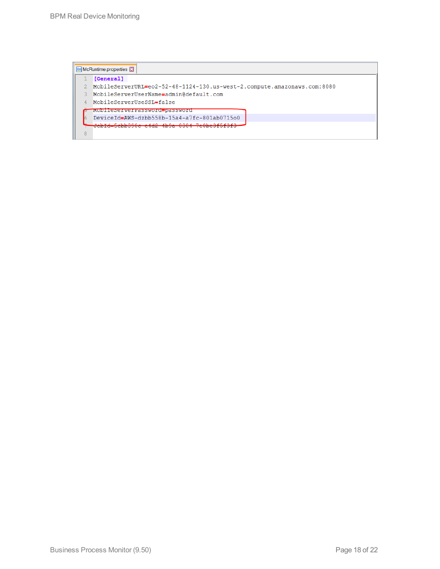|   | $\blacksquare$ McRuntime.properties $\boxtimes$                                                                                                                                                                                                                                                                                           |
|---|-------------------------------------------------------------------------------------------------------------------------------------------------------------------------------------------------------------------------------------------------------------------------------------------------------------------------------------------|
|   | [General]                                                                                                                                                                                                                                                                                                                                 |
|   | MobileServerURL=eo2-52-48-1124-130.us-west-2.compute.amazonaws.com:8080                                                                                                                                                                                                                                                                   |
|   | MobileServerUserName=admin@default.com                                                                                                                                                                                                                                                                                                    |
|   | MobileServerUseSSL=false                                                                                                                                                                                                                                                                                                                  |
|   | <u> WOJOTT TENETAVETA ZENIS WOTACI PENSISWOTACI</u>                                                                                                                                                                                                                                                                                       |
|   | DeviceId=AWS-dzbb558b-15a4-a7fc-801ab0715o0                                                                                                                                                                                                                                                                                               |
|   | $\mathbf{r}$ , $\mathbf{r}$ , $\mathbf{r}$ , $\mathbf{r}$ , $\mathbf{r}$ , $\mathbf{r}$ , $\mathbf{r}$ , $\mathbf{r}$ , $\mathbf{r}$ , $\mathbf{r}$ , $\mathbf{r}$ , $\mathbf{r}$ , $\mathbf{r}$ , $\mathbf{r}$ , $\mathbf{r}$ , $\mathbf{r}$ , $\mathbf{r}$ , $\mathbf{r}$ , $\mathbf{r}$ , $\mathbf{r}$ , $\mathbf{r}$ , $\mathbf{r}$ , |
| 8 |                                                                                                                                                                                                                                                                                                                                           |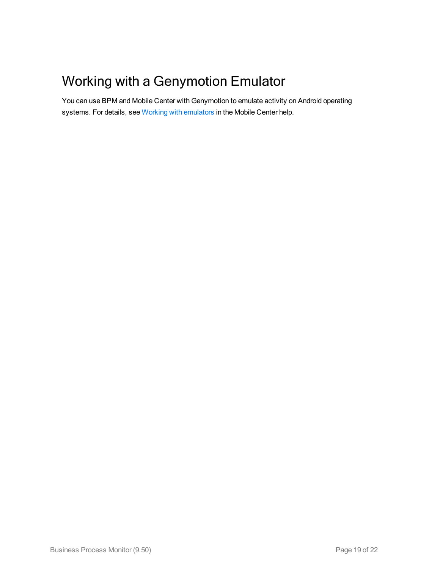## <span id="page-18-0"></span>Working with a Genymotion Emulator

You can use BPM and Mobile Center with Genymotion to emulate activity on Android operating systems. For details, see Working with [emulators](https://admhelp.microfocus.com/mobilecenter/en/2.60/Content/Emulators.htm?Highlight=Emulators) in the Mobile Center help.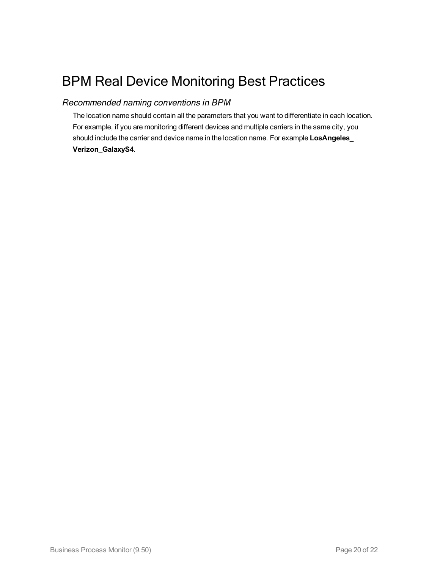## <span id="page-19-0"></span>BPM Real Device Monitoring Best Practices

### Recommended naming conventions in BPM

The location name should contain all the parameters that you want to differentiate in each location. For example, if you are monitoring different devices and multiple carriers in the same city, you should include the carrier and device name in the location name. For example **LosAngeles\_ Verizon\_GalaxyS4**.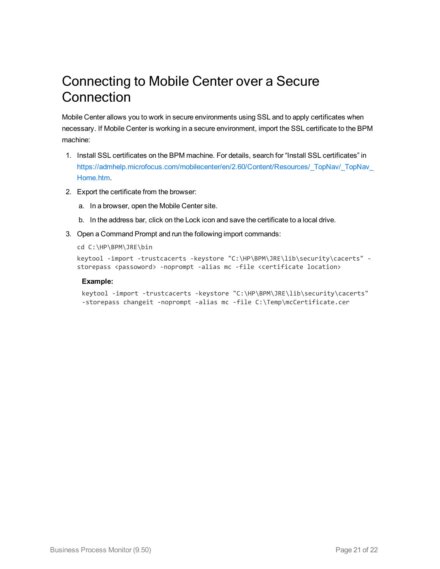### <span id="page-20-0"></span>Connecting to Mobile Center over a Secure **Connection**

Mobile Center allows you to work in secure environments using SSL and to apply certificates when necessary. If Mobile Center is working in a secure environment, import the SSL certificate to the BPM machine:

- 1. Install SSL certificates on the BPM machine. For details, search for "Install SSL certificates" in https://admhelp.microfocus.com/mobilecenter/en/2.60/Content/Resources/\_TopNav/\_TopNav [Home.htm](https://admhelp.microfocus.com/mobilecenter/en/2.60/Content/Resources/_TopNav/_TopNav_Home.htm).
- 2. Export the certificate from the browser:
	- a. In a browser, open the Mobile Center site.
	- b. In the address bar, click on the Lock icon and save the certificate to a local drive.
- 3. Open a Command Prompt and run the following import commands:

```
cd C:\HP\BPM\JRE\bin
```

```
keytool -import -trustcacerts -keystore "C:\HP\BPM\JRE\lib\security\cacerts" -
storepass <passoword> -noprompt -alias mc -file <certificate location>
```
#### **Example:**

```
keytool -import -trustcacerts -keystore "C:\HP\BPM\JRE\lib\security\cacerts"
-storepass changeit -noprompt -alias mc -file C:\Temp\mcCertificate.cer
```